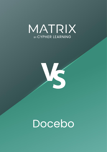



# Docebo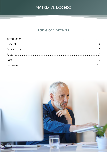## **Table of Contents**

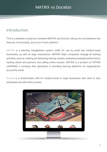## <span id="page-2-0"></span>Introduction

This is a detailed comparison between MATRIX and Docebo, taking into consideration the features, functionality, and cost of each platform.

MATRIX is a learning management system (LMS) for use by small and medium-sized businesses, as well as large corporations. MATRIX helps companies manage all training activities, such as creating and delivering training content, evaluating employee performance, training clients and partners, and selling online courses. MATRIX is a product of CYPHER LEARNING, a company that specializes in providing learning platforms for organizations around the world.

Docebo is a cloud-hosted LMS for medium-sized to large businesses that need to train employees and sell online courses.

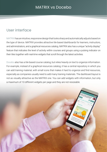## <span id="page-3-0"></span>User interface

MATRIX has an intuitive, responsive design that looks sharp and automatically adjusts based on the type of device. MATRIX provides attractive tile-based dashboards for learners, instructors, and administrators, and a graphical resources catalog. MATRIX also has a unique "activity display" feature that indicates the level of activity within courses and groups using a pulsing indicator on their tiles together with real-time widgets that scroll through the latest activities.

Docebo also has a tile-based course catalog, but relies heavily on text to organize information. For example, instead of a graphical resources catalog, it has a central repository in which you can add training material, with small icons that makes it hard to organize and find resources, especially as companies usually need to add many training materials. The dashboard layout is not as visually attractive as the MATRIX one. You can add widgets with information, but only a maximum of 10 different widgets per page and they are not resizeable.

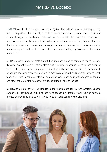MATRIX has a simple and intuitive pop-out navigation that makes it easy for users to go to any area of the platform. For example, from the instructor dashboard, you can directly click on a course tile to go to a specific course. In Docebo, users have to click on a top left-hand icon to access a menu, then click on each button to access different areas of the platform. It means that the users will spend some time learning to navigate in Docebo. For example, to create a new course, you have to go to the top right corner, select settings, go to courses, then add a new course.

MATRIX makes it easy to create beautiful courses and organize content, allowing users to display a row or tile layout. There is also a quick tile editor to change the image and color for each module. Each module can have a description and displays important information such as badges and certificates awarded, which modules are locked, and progress icons for each module. In Docebo, course content is mostly displayed in one page, with widgets for forums and other course-related items that are added at the bottom of the page.

MATRIX offers support for 40+ languages and mobile apps for iOS and Android. Docebo supports 35+ languages. It also doesn't have accessibility features such as high contrast themes or underlined links as MATRIX does, so all users can enjoy the platform.

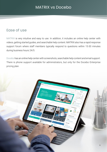## <span id="page-5-0"></span>Ease of use

MATRIX is very intuitive and easy to use. In addition, it includes an online help center with videos, getting started guides, and searchable help content. MATRIX also has a rapid response support forum where staff members typically respond to questions within 15-30 minutes during business hours 24/5.

Docebo has an online help center with screenshots, searchable help content and email support. There is phone support available for administrators, but only for the Docebo Enterprise pricing plan.

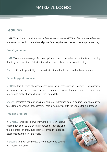## <span id="page-6-0"></span>Features

MATRIX and Docebo provide a similar feature set. However, MATRIX offers the same features at a lower cost and some additional powerful enterprise features, such as adaptive learning.

#### Creating courses

MATRIX offers a wide range of course options to help companies deliver the type of training that they need, whether it's instructor-led, self-paced, blended or micro learning.

Docebo offers the possibility of adding instructor-led, self-paced and webinar courses.

#### Evaluating performance

MATRIX offers 15 types of assessments, including quizzes, surveys, Dropbox, LTI, discussions and essays. Instructors can easily see a centralized view of learners' scores, quickly add results, and make changes through the Scores tab.

Docebo instructors can only evaluate learners' understanding of a course through a survey, test LTI tool or Dropbox assessment. There is no equivalent to the Scores table in Docebo.

#### Tracking progress

In MATRIX, analytics allows instructors to view useful information such as the overall progress of learners and the progress of individual learners through modules, assessments, mastery, and more.

In Docebo, you can see mostly site statistics and course completion statistics.

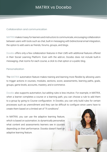#### Collaboration and communication

MATRIX makes it easy for learners and instructors to communicate, encouraging collaboration between users with tools such as chat, built-in messaging with bidirectional email integration, the option to add users as friends, forums, groups, and blogs.

Docebo offers only a few collaboration features in their LMS with additional features offered in their Social Learning Platform. Even with the add-on, Docebo does not include built-in messaging, chat rooms for each course, a click to chat option or a public blog.

#### Personalization

The MATRIX automation feature makes training and learning more flexible by allowing users to trigger actions in courses, modules, sections, score, assessments, learning paths, goals, groups, game levels, accounts, mastery, and e-commerce.

Docebo also supports automation, but adding rules is less intuitive. For example, in MATRIX, when a learner completes a course or a learning path, you can choose a rule to add them to a group by going to Course configuration. In Docebo, you can only build rules for certain processes such as unenrollment and they can be difficult to configure since users have to create them based on a limited set of "if conditions".

8

In MATRIX, you can use the adaptive learning feature, which is based on automation, to dynamically personalize what content and assessments learners see in courses depending on their performance. Docebo doesn't have an adaptive learning feature.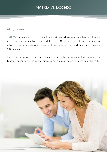#### Selling courses

MATRIX offers integrated e-commerce functionality and allows users to sell courses, learning paths, bundles, subscriptions, and digital media. MATRIX also provides a wide range of options for marketing learning content, such as course reviews, Mailchimp integration and SEO features.

Docebo users that want to sell their courses to external audiences have fewer tools at their disposal. In addition, you cannot sell digital media, such as e-books, or videos through Docebo.

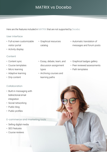Here are the features included in MATRIX that are not supported by Docebo:

#### User interface

- Full-screen customizable visitor portal
- Activity display

#### **Content**

- Content sync
- Course templates
- Micro learning
- Adaptive learning
- Drip content

## Collaboration

- Built-in messaging with bidirectional email integration
- Social networking
- Public blog
- Public profiles

## E-commerce and marketing tools

- Selling digital media
- SEO features
- Course reviews
- Graphical resources catalog
- Essay, debate, team, and discussion assignment types
- Archiving courses and learning paths
- Automatic translation of messages and forum posts
- Graphical badges gallery
- Peer reviewed assessments
- Path templates

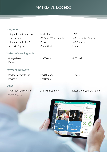#### Integrations

- Integration with your own email server
- Integration with 1,500+ apps via Zapier

#### Web conferencing tools

- Google Meet
- Kaltura

#### Payment gateways

- PayPal Payments Pro
- PayUbiz

#### **Other**

• Trash can for restoring deleted items

- Mailchimp
	- CCF and QTI standards
- Panopto
	- CometChat
- MS Teams

• PayU Latam

• PagSeguro

• Archiving learners

- H5P
- MS Immersive Reader
- MS OneNote
- Udemy
- GoToWebinar
- Flywire
- Resell under your own brand



11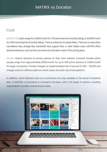## <span id="page-11-0"></span>Cost

MATRIX LMS plans range from \$549/month for 100 active learners (monthly billing), to \$4,699/month for 3,500 active learners (monthly billing). There is a discount for yearly billing. There are no setup fees, cancellation fees, storage fees, bandwidth fees, support fees, or other hidden costs. MATRIX offers advanced features, such as full e-commerce functionality in each of the pricing plans.

Docebo doesn't disclose its pricing options on their main website. However, Docebo plans usually range from approximately \$900/month for up to 300 active learners to 2,500/month for larger companies. Docebo charges an implementation fee of around \$1,000 – \$5,000 and charges extra for different add-ons which raises the total cost of the platform.

In addition, some features such as e-commerce are only available in the pricier Enterprise plan. In MATRIX, e-commerce is included in all plans, with a full range of options, including subscriptions, bundles, and discount codes.



 $12$